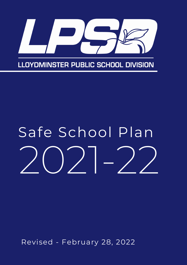

# 2021-22 Safe School Plan

Revised - February 28, 2022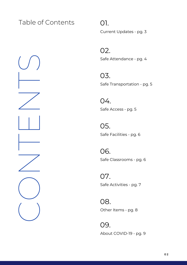### Table of Contents

CONTENTS<br>CONTENTS

0 1. nt Updates - pg. 3

Safe Attendance - pg. 4 0 2.

r a n s p o r t a tio n - p g. 5 0 3. Currer<br>02. Safe A<br>03. Safe T<br>04. Safe A<br>05. Safe C<br>07. Safe A<br>08. Ober<br>09.

c c e s s - p g. 5 0 4.

Safe Tr $04.$ <br>Safe A<br> $05.$ <br>Safe Fa Safe Ad<br>05.<br>Safe Fa<br>06.<br>Safe Cl<br>07. a cilitie s - p g. 6 0 5.

Safe Classrooms - pg. 6 06.

Safe A c tivitie s - p g. 7 07. Safe Fa $06$ .<br>Safe Cl $07$ .<br>Safe Ae

Other It e m s - p g. 8 08.

Abou t C O VID - 1 9 - p g. 9 09.

**0 2**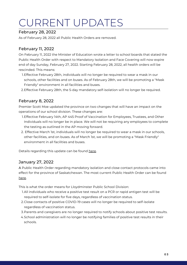## CURRENT UPDATES

#### February 28, 2022

As of February 28, 2022 all Public Health Orders are removed.

#### February 11, 2022

On February 11, 2022 the Minister of Education wrote a letter to school boards that stated the Public Health Order with respect to Mandatory Isolation and Face Covering will now expire end of day Sunday, February 27, 2022. Starting February 28, 2022, all health orders will be rescinded. This means:

- Effective February 28th, individuals will no longer be required to wear a mask in our 1. schools, other facilities and on buses. As of February 28th, we will be promoting a "Mask Friendly" environment in all facilities and buses.
- Effective February 28th, the 5-day mandatory self-isolation will no longer be required. 2.

#### February 8, 2022

Premier Scott Moe updated the province on two changes that will have an impact on the operations of our school division. These changes are:

- 1. Effective February 14th, AP 445 Proof of Vaccination for Employees, Trustees, and Other Individuals will no longer be in place. We will not be requiring any employees to complete the testing as outlined in the AP moving forward.
- Effective March 1st, individuals will no longer be required to wear a mask in our schools, 2. other facilities, and on buses. As of March 1st, we will be promoting a "Mask Friendly" environment in all facilities and buses.

Details regarding this update can be found [here.](https://www.saskatchewan.ca/government/news-and-media/2022/february/08/saskatchewan-ending-proof-of-vaccination-requirement)

#### January 27, 2022

A Public Health Order regarding mandatory isolation and close contact protocols came into effect for the province of Saskatchewan. The most current Public Health Order can be found [here.](https://www.saskatchewan.ca/government/news-and-media/2022/january/27/update-to-covid19-selfisolation-close-contact-protocols)

This is what the order means for Lloydminster Public School Division:

- All individuals who receive a positive test result on a PCR or rapid antigen test will be 1. required to self-isolate for five days, regardless of vaccination status.
- Close contacts of positive COVID-19 cases will no longer be required to self-isolate 2. regardless of vaccination status.
- Parents and caregivers are no longer required to notify schools about positive test results. 3.
- 4.School administration will no longer be notifying families of positive test results in their schools.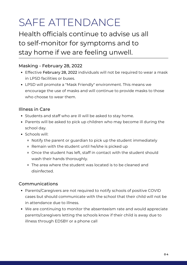## SAFE ATTENDANCE

Health officials continue to advise us all to self-monitor for symptoms and to stay home if we are feeling unwell.

### Masking - February 28, 2022

- Effective February 28, 2022 individuals will not be required to wear a mask in LPSD facilities or buses.
- LPSD will promote a "Mask Friendly" environment. This means we encourage the use of masks and will continue to provide masks to those who choose to wear them.

### Illness in Care

- Students and staff who are ill will be asked to stay home.
- Parents will be asked to pick up children who may become ill during the school day.
- Schools will:
	- Notify the parent or guardian to pick up the student immediately
	- Remain with the student until he/she is picked up
	- Once the student has left, staff in contact with the student should wash their hands thoroughly.
	- The area where the student was located is to be cleaned and disinfected.

### Communications

- Parents/Caregivers are not required to notify schools of positive COVID cases but should communicate with the school that their child will not be in attendance due to illness.
- We are continuing to monitor the absenteeism rate and would appreciate parents/caregivers letting the schools know if their child is away due to illness through EDSBY or a phone call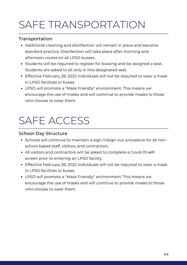### SAFE TRANSPORTATION

### Transportation

- Additional cleaning and disinfection will remain in place and become standard practice. Disinfection will take place after morning and afternoon routes on all LPSD busses.
- Students will be required to register for bussing and be assigned a seat. Students are asked to sit only in this designated seat.
- Effective February 28, 2022 individuals will not be required to wear a mask in LPSD facilities or buses.
- LPSD will promote a "Mask Friendly" environment. This means we encourage the use of masks and will continue to provide masks to those who choose to wear them.

### SAFE ACCESS

### School-Day Structure

- Schools will continue to maintain a sign-in/sign-out procedure for all nonschool-based staff, visitors, and contractors.
- All visitors and contractors will be asked to complete a Covid-19 selfscreen prior to entering an LPSD facility.
- Effective February 28, 2022 individuals will not be required to wear a mask in LPSD facilities or buses.
- LPSD will promote a "Mask Friendly" environment. This means we encourage the use of masks and will continue to provide masks to those who choose to wear them.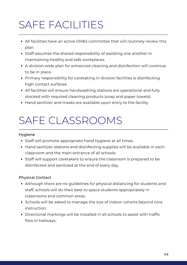### SAFE FACILITIES

- All facilities have an active OH&S committee that will routinely review this plan.
- Staff assumes the shared responsibility of assisting one another in maintaining healthy and safe workplaces.
- A division-wide plan for enhanced cleaning and disinfection will continue to be in place.
- Primary responsibility for caretaking in division facilities is disinfecting high contact surfaces.
- All facilities will ensure handwashing stations are operational and fully stocked with required cleaning products (soap and paper towels).
- Hand sanitizer and masks are available upon entry to the facility

### SAFE CLASSROOMS

#### Hygiene

- Staff will promote appropriate hand hygiene at all times.
- Hand sanitizer stations and disinfecting supplies will be available in each classroom and the main entrance of all schools.
- Staff will support caretakers to ensure the classroom is prepared to be disinfected and sanitized at the end of every day.

#### Physical Contact

- Although there are no guidelines for physical distancing for students and staff, schools will do their best to space students appropriately in classrooms and common areas.
- Schools will be asked to manage the size of indoor cohorts beyond core instruction.
- Directional markings will be installed in all schools to assist with traffic flow in hallways.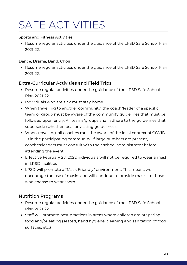### SAFE ACTIVITIES

#### Sports and Fitness Activities

• Resume regular activities under the guidance of the LPSD Safe School Plan 2021-22.

#### Dance, Drama, Band, Choir

• Resume regular activities under the guidance of the LPSD Safe School Plan 2021-22.

### Extra-Curricular Activities and Field Trips

- Resume regular activities under the guidance of the LPSD Safe School Plan 2021-22.
- Individuals who are sick must stay home
- When travelling to another community, the coach/leader of a specific team or group must be aware of the community guidelines that must be followed upon entry. All teams/groups shall adhere to the guidelines that supersede (whether local or visiting guidelines).
- When travelling, all coaches must be aware of the local context of COVID-19 in the participating community. If large numbers are present, coaches/leaders must consult with their school administrator before attending the event.
- Effective February 28, 2022 individuals will not be required to wear a mask in LPSD facilities
- LPSD will promote a "Mask Friendly" environment. This means we encourage the use of masks and will continue to provide masks to those who choose to wear them.

### Nutrition Programs

- Resume regular activities under the guidance of the LPSD Safe School Plan 2021-22.
- Staff will promote best practices in areas where children are preparing food and/or eating (seated, hand hygiene, cleaning and sanitation of food surfaces, etc.)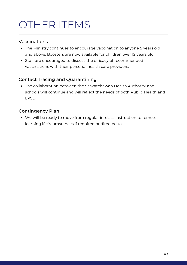### OTHER ITEMS

### Vaccinations

- The Ministry continues to encourage vaccination to anyone 5 years old and above. Boosters are now available for children over 12 years old.
- Staff are encouraged to discuss the efficacy of recommended vaccinations with their personal health care providers.

### Contact Tracing and Quarantining

The collaboration between the Saskatchewan Health Authority and schools will continue and will reflect the needs of both Public Health and LPSD.

### Contingency Plan

We will be ready to move from regular in-class instruction to remote learning if circumstances if required or directed to.